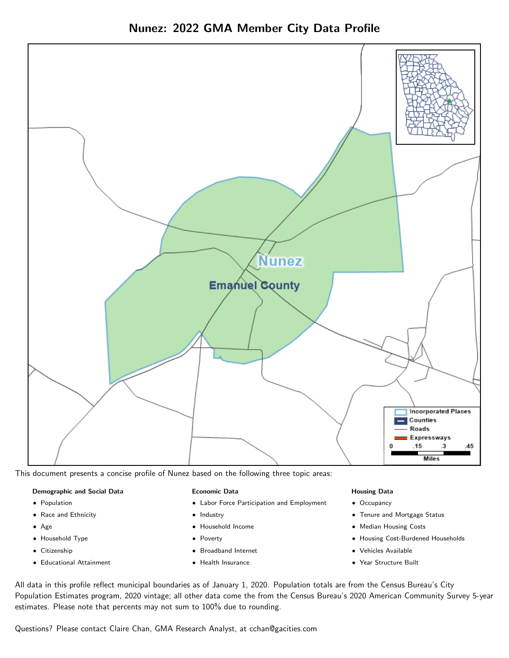



This document presents a concise profile of Nunez based on the following three topic areas:

#### Demographic and Social Data

- **•** Population
- Race and Ethnicity
- Age
- Household Type
- **Citizenship**
- Educational Attainment

#### Economic Data

- Labor Force Participation and Employment
- Industry
- Household Income
- Poverty
- Broadband Internet
- Health Insurance

#### Housing Data

- Occupancy
- Tenure and Mortgage Status
- Median Housing Costs
- Housing Cost-Burdened Households
- Vehicles Available
- Year Structure Built

All data in this profile reflect municipal boundaries as of January 1, 2020. Population totals are from the Census Bureau's City Population Estimates program, 2020 vintage; all other data come the from the Census Bureau's 2020 American Community Survey 5-year estimates. Please note that percents may not sum to 100% due to rounding.

Questions? Please contact Claire Chan, GMA Research Analyst, at [cchan@gacities.com.](mailto:cchan@gacities.com)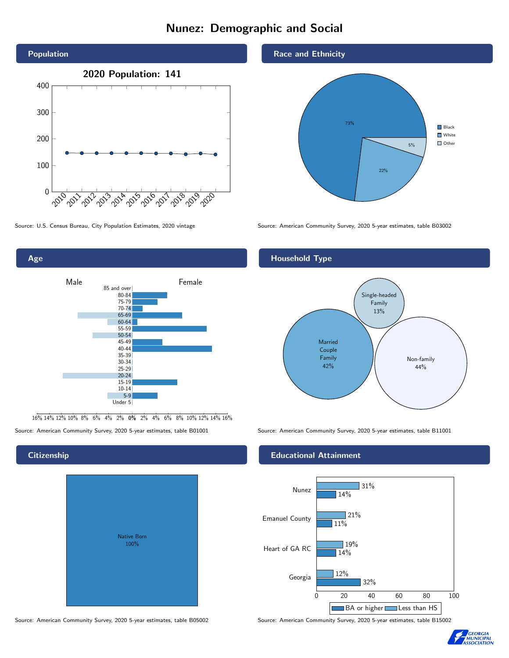# Nunez: Demographic and Social





16% 14% 12% 10% 8% 6% 4% 2% 0% 2% 4% 6% 8% 10% 12% 14% 16%

# **Citizenship**

Age

|  | <b>Native Born</b><br>100% |  |  |
|--|----------------------------|--|--|
|  |                            |  |  |

Race and Ethnicity



Source: U.S. Census Bureau, City Population Estimates, 2020 vintage Source: American Community Survey, 2020 5-year estimates, table B03002

## Household Type



Source: American Community Survey, 2020 5-year estimates, table B01001 Source: American Community Survey, 2020 5-year estimates, table B11001

#### Educational Attainment



Source: American Community Survey, 2020 5-year estimates, table B05002 Source: American Community Survey, 2020 5-year estimates, table B15002

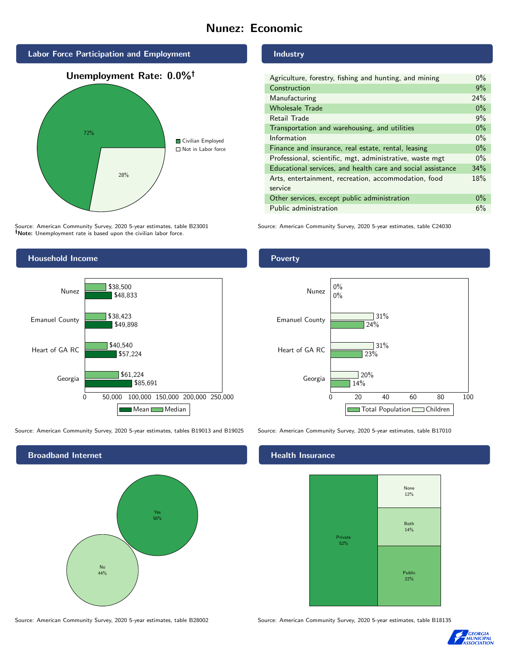# Nunez: Economic



Source: American Community Survey, 2020 5-year estimates, table B23001 Note: Unemployment rate is based upon the civilian labor force.



Source: American Community Survey, 2020 5-year estimates, tables B19013 and B19025 Source: American Community Survey, 2020 5-year estimates, table B17010

Broadband Internet No 44% Yes 56%

Industry

| Agriculture, forestry, fishing and hunting, and mining      |       |  |  |
|-------------------------------------------------------------|-------|--|--|
| Construction                                                | 9%    |  |  |
| Manufacturing                                               | 24%   |  |  |
| <b>Wholesale Trade</b>                                      | $0\%$ |  |  |
| Retail Trade                                                | 9%    |  |  |
| Transportation and warehousing, and utilities               |       |  |  |
| Information                                                 | $0\%$ |  |  |
| Finance and insurance, real estate, rental, leasing         |       |  |  |
| Professional, scientific, mgt, administrative, waste mgt    |       |  |  |
| Educational services, and health care and social assistance |       |  |  |
| Arts, entertainment, recreation, accommodation, food        |       |  |  |
| service                                                     |       |  |  |
| Other services, except public administration                |       |  |  |
| Public administration                                       |       |  |  |

Source: American Community Survey, 2020 5-year estimates, table C24030

## Poverty



# **Health Insurance**



Source: American Community Survey, 2020 5-year estimates, table B28002 Source: American Community Survey, 2020 5-year estimates, table B18135